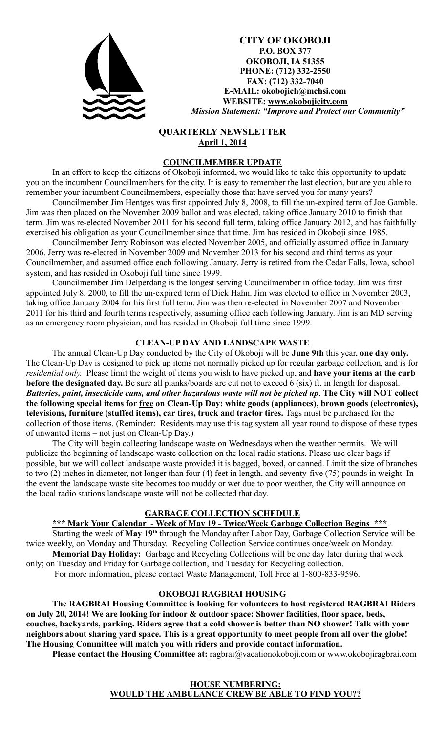

**CITY OF OKOBOJI P.O. BOX 377 OKOBOJI, IA 51355 PHONE: (712) 332-2550 FAX: (712) 332-7040 E-MAIL: okobojich@mchsi.com WEBSITE: www.okobojicity.com** *Mission Statement: "Improve and Protect our Community"*

# **QUARTERLY NEWSLETTER April 1, 2014**

#### **COUNCILMEMBER UPDATE**

In an effort to keep the citizens of Okoboji informed, we would like to take this opportunity to update you on the incumbent Councilmembers for the city. It is easy to remember the last election, but are you able to remember your incumbent Councilmembers, especially those that have served you for many years?

Councilmember Jim Hentges was first appointed July 8, 2008, to fill the un-expired term of Joe Gamble. Jim was then placed on the November 2009 ballot and was elected, taking office January 2010 to finish that term. Jim was re-elected November 2011 for his second full term, taking office January 2012, and has faithfully exercised his obligation as your Councilmember since that time. Jim has resided in Okoboji since 1985.

Councilmember Jerry Robinson was elected November 2005, and officially assumed office in January 2006. Jerry was re-elected in November 2009 and November 2013 for his second and third terms as your Councilmember, and assumed office each following January. Jerry is retired from the Cedar Falls, Iowa, school system, and has resided in Okoboji full time since 1999.

Councilmember Jim Delperdang is the longest serving Councilmember in office today. Jim was first appointed July 8, 2000, to fill the un-expired term of Dick Hahn. Jim was elected to office in November 2003, taking office January 2004 for his first full term. Jim was then re-elected in November 2007 and November 2011 for his third and fourth terms respectively, assuming office each following January. Jim is an MD serving as an emergency room physician, and has resided in Okoboji full time since 1999.

## **CLEAN-UP DAY AND LANDSCAPE WASTE**

The annual Clean-Up Day conducted by the City of Okoboji will be **June 9th** this year, **one day only.** The Clean-Up Day is designed to pick up items not normally picked up for regular garbage collection, and is for *residential only.* Please limit the weight of items you wish to have picked up, and **have your items at the curb before the designated day.** Be sure all planks/boards are cut not to exceed 6 (six) ft. in length for disposal. *Batteries, paint, insecticide cans, and other hazardous waste will not be picked up*. **The City will NOT collect the following special items for free on Clean-Up Day: white goods (appliances), brown goods (electronics), televisions, furniture (stuffed items), car tires, truck and tractor tires.** Tags must be purchased for the collection of those items. (Reminder: Residents may use this tag system all year round to dispose of these types of unwanted items – not just on Clean-Up Day.)

The City will begin collecting landscape waste on Wednesdays when the weather permits. We will publicize the beginning of landscape waste collection on the local radio stations. Please use clear bags if possible, but we will collect landscape waste provided it is bagged, boxed, or canned. Limit the size of branches to two (2) inches in diameter, not longer than four (4) feet in length, and seventy-five (75) pounds in weight. In the event the landscape waste site becomes too muddy or wet due to poor weather, the City will announce on the local radio stations landscape waste will not be collected that day.

#### **GARBAGE COLLECTION SCHEDULE**

### **\*\*\* Mark Your Calendar - Week of May 19 - Twice/Week Garbage Collection Begins \*\*\***

Starting the week of **May 19th** through the Monday after Labor Day, Garbage Collection Service will be twice weekly, on Monday and Thursday. Recycling Collection Service continues once/week on Monday. **Memorial Day Holiday:** Garbage and Recycling Collections will be one day later during that week only; on Tuesday and Friday for Garbage collection, and Tuesday for Recycling collection.

For more information, please contact Waste Management, Toll Free at 1-800-833-9596.

#### **OKOBOJI RAGBRAI HOUSING**

**The RAGBRAI Housing Committee is looking for volunteers to host registered RAGBRAI Riders on July 20, 2014! We are looking for indoor & outdoor space: Shower facilities, floor space, beds, couches, backyards, parking. Riders agree that a cold shower is better than NO shower! Talk with your neighbors about sharing yard space. This is a great opportunity to meet people from all over the globe! The Housing Committee will match you with riders and provide contact information.** 

Please contact the Housing Committee at: ragbrai@vacationokoboji.com or www.okobojiragbrai.com

**HOUSE NUMBERING: WOULD THE AMBULANCE CREW BE ABLE TO FIND YOU??**